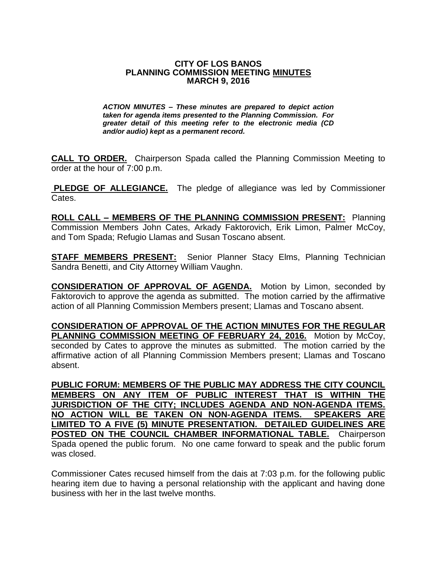## **CITY OF LOS BANOS PLANNING COMMISSION MEETING MINUTES MARCH 9, 2016**

*ACTION MINUTES – These minutes are prepared to depict action taken for agenda items presented to the Planning Commission. For greater detail of this meeting refer to the electronic media (CD and/or audio) kept as a permanent record.*

**CALL TO ORDER.** Chairperson Spada called the Planning Commission Meeting to order at the hour of 7:00 p.m.

**PLEDGE OF ALLEGIANCE.** The pledge of allegiance was led by Commissioner Cates.

**ROLL CALL – MEMBERS OF THE PLANNING COMMISSION PRESENT:** Planning Commission Members John Cates, Arkady Faktorovich, Erik Limon, Palmer McCoy, and Tom Spada; Refugio Llamas and Susan Toscano absent.

**STAFF MEMBERS PRESENT:** Senior Planner Stacy Elms, Planning Technician Sandra Benetti, and City Attorney William Vaughn.

**CONSIDERATION OF APPROVAL OF AGENDA.** Motion by Limon, seconded by Faktorovich to approve the agenda as submitted. The motion carried by the affirmative action of all Planning Commission Members present; Llamas and Toscano absent.

**CONSIDERATION OF APPROVAL OF THE ACTION MINUTES FOR THE REGULAR PLANNING COMMISSION MEETING OF FEBRUARY 24, 2016.** Motion by McCoy, seconded by Cates to approve the minutes as submitted. The motion carried by the affirmative action of all Planning Commission Members present; Llamas and Toscano absent.

**PUBLIC FORUM: MEMBERS OF THE PUBLIC MAY ADDRESS THE CITY COUNCIL MEMBERS ON ANY ITEM OF PUBLIC INTEREST THAT IS WITHIN THE JURISDICTION OF THE CITY; INCLUDES AGENDA AND NON-AGENDA ITEMS. NO ACTION WILL BE TAKEN ON NON-AGENDA ITEMS. SPEAKERS ARE LIMITED TO A FIVE (5) MINUTE PRESENTATION. DETAILED GUIDELINES ARE POSTED ON THE COUNCIL CHAMBER INFORMATIONAL TABLE.** Chairperson Spada opened the public forum. No one came forward to speak and the public forum was closed.

Commissioner Cates recused himself from the dais at 7:03 p.m. for the following public hearing item due to having a personal relationship with the applicant and having done business with her in the last twelve months.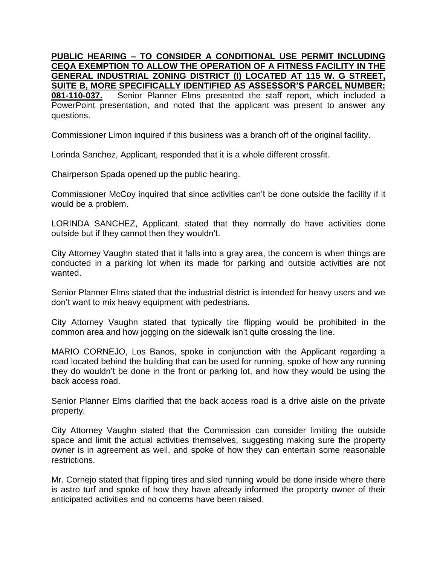**PUBLIC HEARING – TO CONSIDER A CONDITIONAL USE PERMIT INCLUDING CEQA EXEMPTION TO ALLOW THE OPERATION OF A FITNESS FACILITY IN THE GENERAL INDUSTRIAL ZONING DISTRICT (I) LOCATED AT 115 W. G STREET, SUITE B, MORE SPECIFICALLY IDENTIFIED AS ASSESSOR'S PARCEL NUMBER: 081-110-037.** Senior Planner Elms presented the staff report, which included a PowerPoint presentation, and noted that the applicant was present to answer any questions.

Commissioner Limon inquired if this business was a branch off of the original facility.

Lorinda Sanchez, Applicant, responded that it is a whole different crossfit.

Chairperson Spada opened up the public hearing.

Commissioner McCoy inquired that since activities can't be done outside the facility if it would be a problem.

LORINDA SANCHEZ, Applicant, stated that they normally do have activities done outside but if they cannot then they wouldn't.

City Attorney Vaughn stated that it falls into a gray area, the concern is when things are conducted in a parking lot when its made for parking and outside activities are not wanted.

Senior Planner Elms stated that the industrial district is intended for heavy users and we don't want to mix heavy equipment with pedestrians.

City Attorney Vaughn stated that typically tire flipping would be prohibited in the common area and how jogging on the sidewalk isn't quite crossing the line.

MARIO CORNEJO, Los Banos, spoke in conjunction with the Applicant regarding a road located behind the building that can be used for running, spoke of how any running they do wouldn't be done in the front or parking lot, and how they would be using the back access road.

Senior Planner Elms clarified that the back access road is a drive aisle on the private property.

City Attorney Vaughn stated that the Commission can consider limiting the outside space and limit the actual activities themselves, suggesting making sure the property owner is in agreement as well, and spoke of how they can entertain some reasonable restrictions.

Mr. Cornejo stated that flipping tires and sled running would be done inside where there is astro turf and spoke of how they have already informed the property owner of their anticipated activities and no concerns have been raised.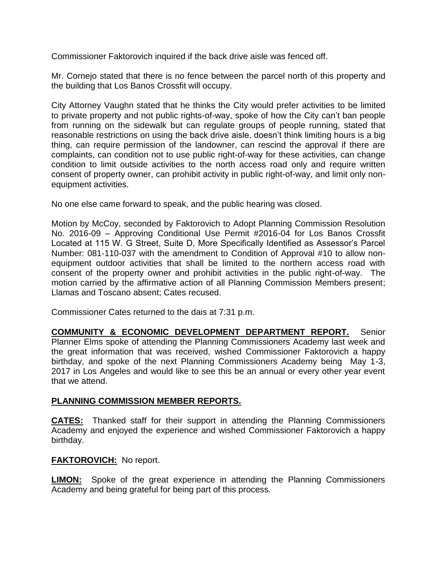Commissioner Faktorovich inquired if the back drive aisle was fenced off.

Mr. Cornejo stated that there is no fence between the parcel north of this property and the building that Los Banos Crossfit will occupy.

City Attorney Vaughn stated that he thinks the City would prefer activities to be limited to private property and not public rights-of-way, spoke of how the City can't ban people from running on the sidewalk but can regulate groups of people running, stated that reasonable restrictions on using the back drive aisle, doesn't think limiting hours is a big thing, can require permission of the landowner, can rescind the approval if there are complaints, can condition not to use public right-of-way for these activities, can change condition to limit outside activities to the north access road only and require written consent of property owner, can prohibit activity in public right-of-way, and limit only nonequipment activities.

No one else came forward to speak, and the public hearing was closed.

Motion by McCoy, seconded by Faktorovich to Adopt Planning Commission Resolution No. 2016-09 – Approving Conditional Use Permit #2016-04 for Los Banos Crossfit Located at 115 W. G Street, Suite D, More Specifically Identified as Assessor's Parcel Number: 081-110-037 with the amendment to Condition of Approval #10 to allow nonequipment outdoor activities that shall be limited to the northern access road with consent of the property owner and prohibit activities in the public right-of-way. The motion carried by the affirmative action of all Planning Commission Members present; Llamas and Toscano absent; Cates recused.

Commissioner Cates returned to the dais at 7:31 p.m.

**COMMUNITY & ECONOMIC DEVELOPMENT DEPARTMENT REPORT.** Senior Planner Elms spoke of attending the Planning Commissioners Academy last week and the great information that was received, wished Commissioner Faktorovich a happy birthday, and spoke of the next Planning Commissioners Academy being May 1-3, 2017 in Los Angeles and would like to see this be an annual or every other year event that we attend.

## **PLANNING COMMISSION MEMBER REPORTS.**

**CATES:** Thanked staff for their support in attending the Planning Commissioners Academy and enjoyed the experience and wished Commissioner Faktorovich a happy birthday.

## **FAKTOROVICH:** No report.

**LIMON:** Spoke of the great experience in attending the Planning Commissioners Academy and being grateful for being part of this process.